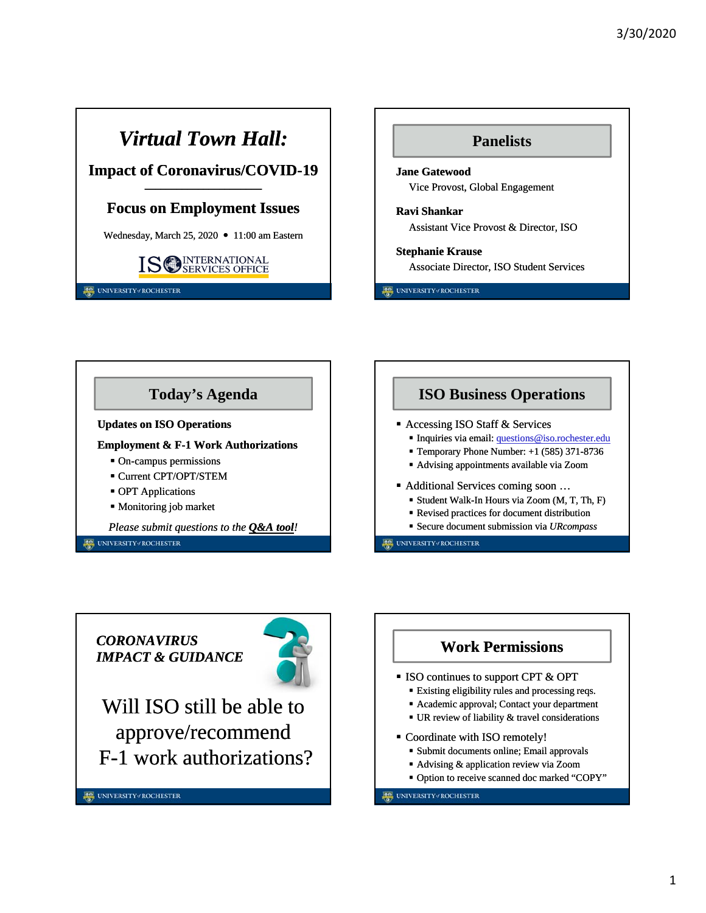# *Virtual Town Hall:*

### **Impact of Coronavirus/COVID-19 ––––––––––––––––––––––**

### **Focus on Employment Issues**

Wednesday, March 25, 2020  $\bullet$  11:00 am Eastern



UNIVERSITY#ROCHESTER



UNIVERSITY#ROCHESTER



*CORONAVIRUS IMPACT & GUIDANCE*



Will ISO still be able to approve/recommend F-1 work authorizations?



#### UNIVERSITY#ROCHESTER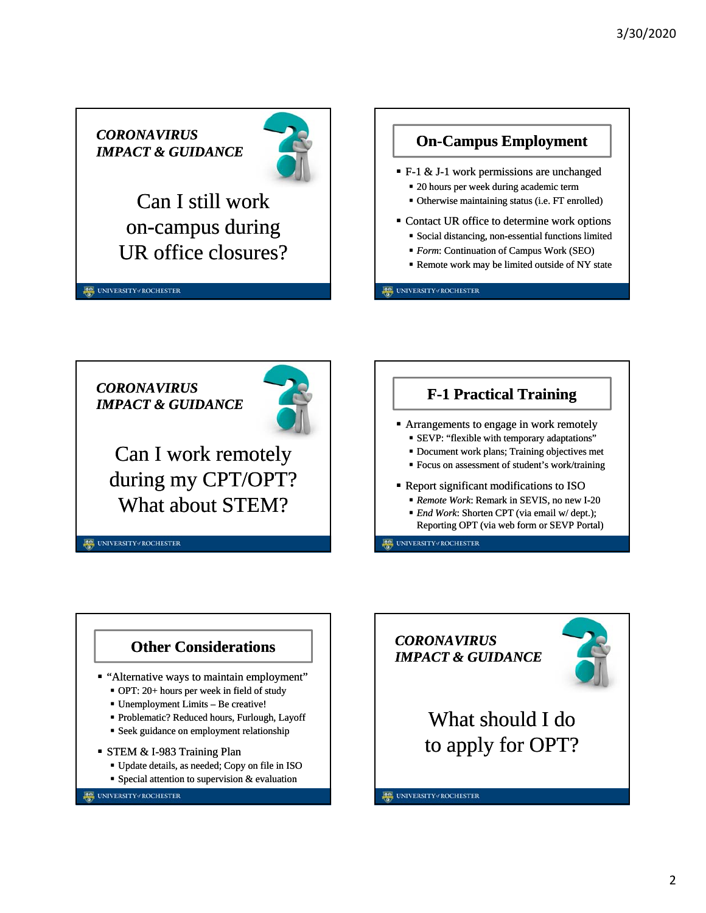*CORONAVIRUS IMPACT & GUIDANCE*



Can I still work on-campus during UR office closures?

UNIVERSITY#ROCHESTER

**On-Campus Employment**

F-1 & J-1 work permissions are unchanged

- 20 hours per week during academic term
- Otherwise maintaining status (i.e. FT enrolled)
- Contact UR office to determine work options
	- Social distancing, non-essential functions limited
	- *Form*: Continuation of Campus Work (SEO)
	- Remote work may be limited outside of NY state

UNIVERSITY#ROCHESTER

*CORONAVIRUS IMPACT & GUIDANCE*



Can I work remotely during my CPT/OPT? What about STEM?

UNIVERSITY#ROCHESTER



- Arrangements to engage in work remotely
	- SEVP: "flexible with temporary adaptations"
	- Document work plans; Training objectives met
	- Focus on assessment of student's work/training
- Report significant modifications to ISO
	- *Remote Work*: Remark in SEVIS, no new I-20
	- *End Work*: Shorten CPT (via email w/ dept.); Reporting OPT (via web form or SEVP Portal)

**ER UNIVERSITY / ROCHESTER** 



#### UNIVERSITY#ROCHESTER



UNIVERSITY#ROCHESTER